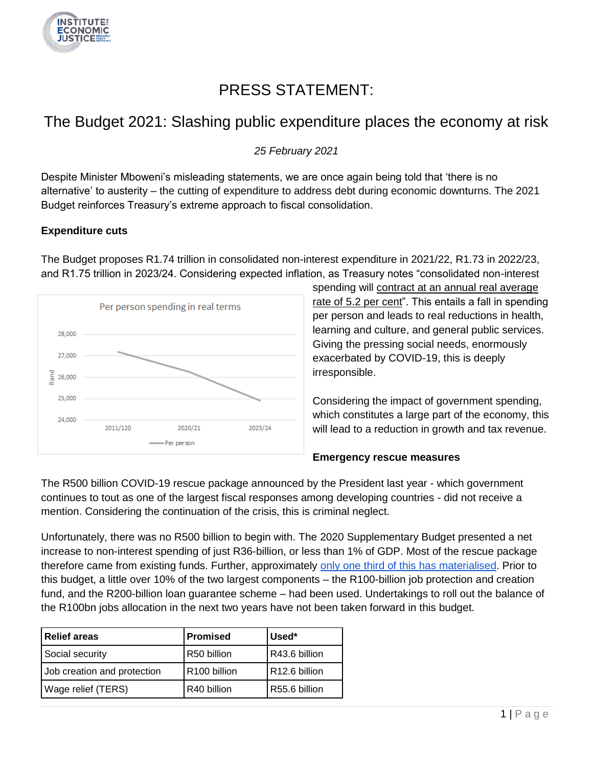

# PRESS STATEMENT:

## The Budget 2021: Slashing public expenditure places the economy at risk

*25 February 2021*

Despite Minister Mboweni's misleading statements, we are once again being told that 'there is no alternative' to austerity – the cutting of expenditure to address debt during economic downturns. The 2021 Budget reinforces Treasury's extreme approach to fiscal consolidation.

#### **Expenditure cuts**

The Budget proposes R1.74 trillion in consolidated non-interest expenditure in 2021/22, R1.73 in 2022/23, and R1.75 trillion in 2023/24. Considering expected inflation, as Treasury notes "consolidated non-interest



spending will contract at an annual real average rate of 5.2 per cent". This entails a fall in spending per person and leads to real reductions in health, learning and culture, and general public services. Giving the pressing social needs, enormously exacerbated by COVID-19, this is deeply irresponsible.

Considering the impact of government spending, which constitutes a large part of the economy, this will lead to a reduction in growth and tax revenue.

### **Emergency rescue measures**

The R500 billion COVID-19 rescue package announced by the President last year - which government continues to tout as one of the largest fiscal responses among developing countries - did not receive a mention. Considering the continuation of the crisis, this is criminal neglect.

Unfortunately, there was no R500 billion to begin with. The 2020 Supplementary Budget presented a net increase to non-interest spending of just R36-billion, or less than 1% of GDP. Most of the rescue package therefore came from existing funds. Further, approximately [only one third of this has materialised.](https://www.iej.org.za/wp-content/uploads/2021/02/IEJ-COVID-19-%E2%80%93-rescue-scorecard-2021-1.pdf) Prior to this budget, a little over 10% of the two largest components – the R100-billion job protection and creation fund, and the R200-billion loan guarantee scheme – had been used. Undertakings to roll out the balance of the R100bn jobs allocation in the next two years have not been taken forward in this budget.

| l Relief areas              | Promised                 | Used*          |
|-----------------------------|--------------------------|----------------|
| Social security             | R50 billion              | IR43.6 billion |
| Job creation and protection | R <sub>100</sub> billion | R12.6 billion  |
| Wage relief (TERS)          | R40 billion              | R55.6 billion  |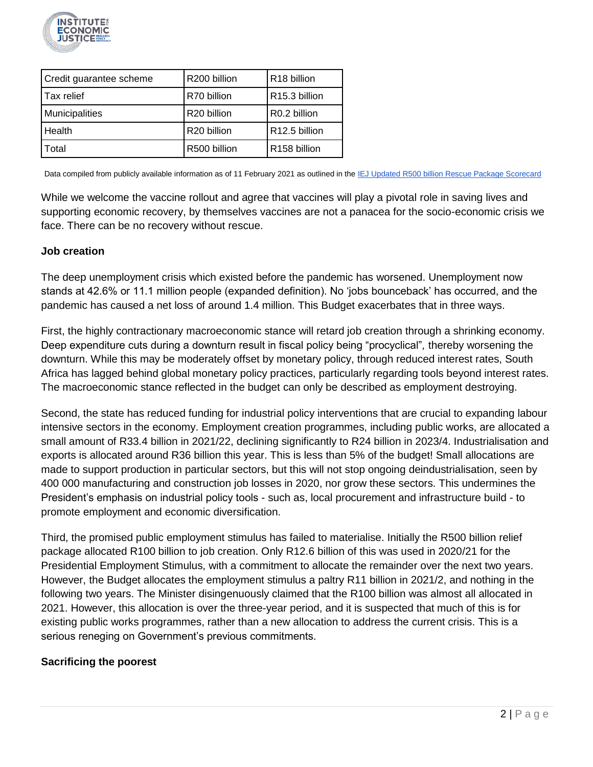

| Credit guarantee scheme | R200 billion | R <sub>18</sub> billion   |
|-------------------------|--------------|---------------------------|
| l Tax relief            | R70 billion  | R15.3 billion             |
| Municipalities          | R20 billion  | R0.2 billion              |
| Health                  | R20 billion  | R <sub>12.5</sub> billion |
| Total                   | R500 billion | R158 billion              |

Data compiled from publicly available information as of 11 February 2021 as outlined in the [IEJ Updated R500 billion Rescue Package Scorecard](https://www.iej.org.za/wp-content/uploads/2021/02/IEJ-COVID-19-%E2%80%93-rescue-scorecard-2021-1.pdf)

While we welcome the vaccine rollout and agree that vaccines will play a pivotal role in saving lives and supporting economic recovery, by themselves vaccines are not a panacea for the socio-economic crisis we face. There can be no recovery without rescue.

#### **Job creation**

The deep unemployment crisis which existed before the pandemic has worsened. Unemployment now stands at 42.6% or 11.1 million people (expanded definition). No 'jobs bounceback' has occurred, and the pandemic has caused a net loss of around 1.4 million. This Budget exacerbates that in three ways.

First, the highly contractionary macroeconomic stance will retard job creation through a shrinking economy. Deep expenditure cuts during a downturn result in fiscal policy being "procyclical"*,* thereby worsening the downturn. While this may be moderately offset by monetary policy, through reduced interest rates, South Africa has lagged behind global monetary policy practices, particularly regarding tools beyond interest rates. The macroeconomic stance reflected in the budget can only be described as employment destroying.

Second, the state has reduced funding for industrial policy interventions that are crucial to expanding labour intensive sectors in the economy. Employment creation programmes, including public works, are allocated a small amount of R33.4 billion in 2021/22, declining significantly to R24 billion in 2023/4. Industrialisation and exports is allocated around R36 billion this year. This is less than 5% of the budget! Small allocations are made to support production in particular sectors, but this will not stop ongoing deindustrialisation, seen by 400 000 manufacturing and construction job losses in 2020, nor grow these sectors. This undermines the President's emphasis on industrial policy tools - such as, local procurement and infrastructure build - to promote employment and economic diversification.

Third, the promised public employment stimulus has failed to materialise. Initially the R500 billion relief package allocated R100 billion to job creation. Only R12.6 billion of this was used in 2020/21 for the Presidential Employment Stimulus, with a commitment to allocate the remainder over the next two years. However, the Budget allocates the employment stimulus a paltry R11 billion in 2021/2, and nothing in the following two years. The Minister disingenuously claimed that the R100 billion was almost all allocated in 2021. However, this allocation is over the three-year period, and it is suspected that much of this is for existing public works programmes, rather than a new allocation to address the current crisis. This is a serious reneging on Government's previous commitments.

#### **Sacrificing the poorest**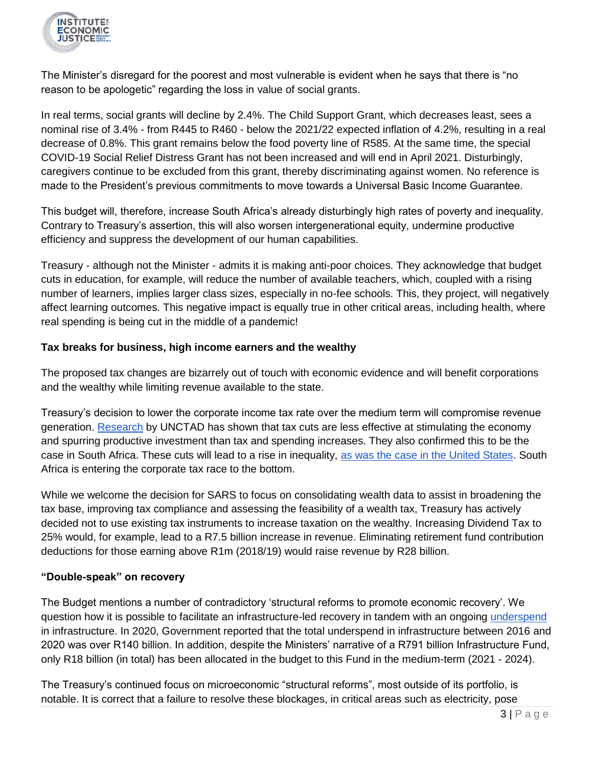

The Minister's disregard for the poorest and most vulnerable is evident when he says that there is "no reason to be apologetic" regarding the loss in value of social grants.

In real terms, social grants will decline by 2.4%. The Child Support Grant, which decreases least, sees a nominal rise of 3.4% - from R445 to R460 - below the 2021/22 expected inflation of 4.2%, resulting in a real decrease of 0.8%. This grant remains below the food poverty line of R585. At the same time, the special COVID-19 Social Relief Distress Grant has not been increased and will end in April 2021. Disturbingly, caregivers continue to be excluded from this grant, thereby discriminating against women. No reference is made to the President's previous commitments to move towards a Universal Basic Income Guarantee.

This budget will, therefore, increase South Africa's already disturbingly high rates of poverty and inequality. Contrary to Treasury's assertion, this will also worsen intergenerational equity, undermine productive efficiency and suppress the development of our human capabilities.

Treasury - although not the Minister - admits it is making anti-poor choices. They acknowledge that budget cuts in education, for example, will reduce the number of available teachers, which, coupled with a rising number of learners, implies larger class sizes, especially in no-fee schools. This, they project, will negatively affect learning outcomes. This negative impact is equally true in other critical areas, including health, where real spending is being cut in the middle of a pandemic!

### **Tax breaks for business, high income earners and the wealthy**

The proposed tax changes are bizarrely out of touch with economic evidence and will benefit corporations and the wealthy while limiting revenue available to the state.

Treasury's decision to lower the corporate income tax rate over the medium term will compromise revenue generation. [Research](https://unctad.org/system/files/official-document/tdr2019ch3_en.pdf) by UNCTAD has shown that tax cuts are less effective at stimulating the economy and spurring productive investment than tax and spending increases. They also confirmed this to be the case in South Africa. These cuts will lead to a rise in inequality, [as was the case in the United States.](https://www.wsj.com/articles/tax-cuts-for-the-wealthy-make-inequality-worse-11572561280) South Africa is entering the corporate tax race to the bottom.

While we welcome the decision for SARS to focus on consolidating wealth data to assist in broadening the tax base, improving tax compliance and assessing the feasibility of a wealth tax, Treasury has actively decided not to use existing tax instruments to increase taxation on the wealthy. Increasing Dividend Tax to 25% would, for example, lead to a R7.5 billion increase in revenue. Eliminating retirement fund contribution deductions for those earning above R1m (2018/19) would raise revenue by R28 billion.

### **"Double-speak" on recovery**

The Budget mentions a number of contradictory 'structural reforms to promote economic recovery'. We question how it is possible to facilitate an infrastructure-led recovery in tandem with an ongoing [underspend](https://www.iej.org.za/the-role-of-private-finance-in-infrastructure-development-in-south-africa-a-critical-assessment/) in infrastructure. In 2020, Government reported that the total underspend in infrastructure between 2016 and 2020 was over R140 billion. In addition, despite the Ministers' narrative of a R791 billion Infrastructure Fund, only R18 billion (in total) has been allocated in the budget to this Fund in the medium-term (2021 - 2024).

The Treasury's continued focus on microeconomic "structural reforms", most outside of its portfolio, is notable. It is correct that a failure to resolve these blockages, in critical areas such as electricity, pose